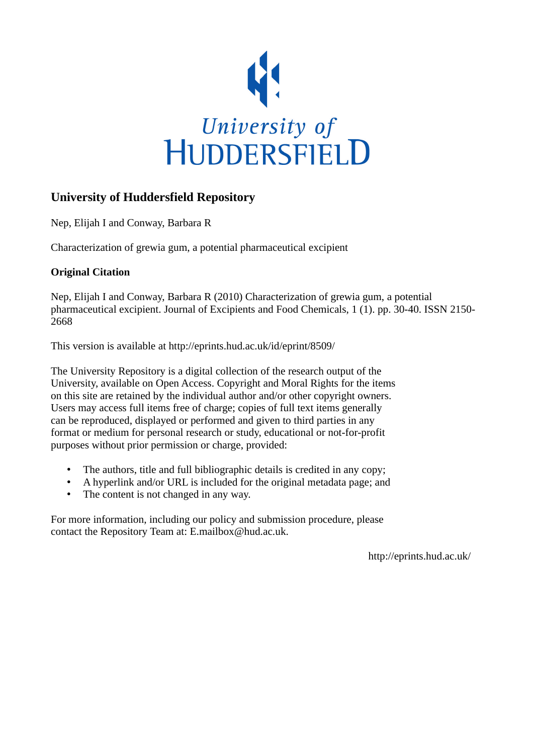

# **University of Huddersfield Repository**

Nep, Elijah I and Conway, Barbara R

Characterization of grewia gum, a potential pharmaceutical excipient

# **Original Citation**

Nep, Elijah I and Conway, Barbara R (2010) Characterization of grewia gum, a potential pharmaceutical excipient. Journal of Excipients and Food Chemicals, 1 (1). pp. 30-40. ISSN 2150- 2668

This version is available at http://eprints.hud.ac.uk/id/eprint/8509/

The University Repository is a digital collection of the research output of the University, available on Open Access. Copyright and Moral Rights for the items on this site are retained by the individual author and/or other copyright owners. Users may access full items free of charge; copies of full text items generally can be reproduced, displayed or performed and given to third parties in any format or medium for personal research or study, educational or not-for-profit purposes without prior permission or charge, provided:

- The authors, title and full bibliographic details is credited in any copy;
- A hyperlink and/or URL is included for the original metadata page; and
- The content is not changed in any way.

For more information, including our policy and submission procedure, please contact the Repository Team at: E.mailbox@hud.ac.uk.

http://eprints.hud.ac.uk/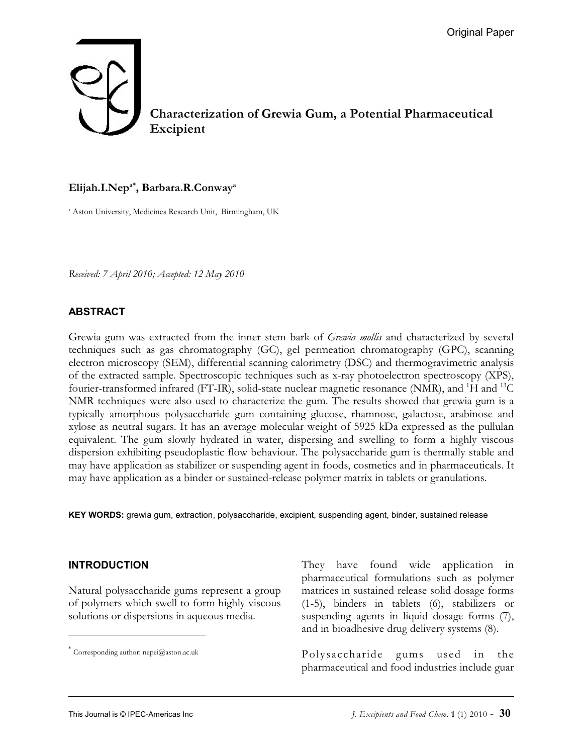# **Characterization of Grewia Gum, a Potential Pharmaceutical Excipient**

#### **Elijah.I.Nep , Barbara.R.Conway a\* <sup>a</sup>**

<sup>a</sup> Aston University, Medicines Research Unit, Birmingham, UK

*Received: 7 April 2010; Accepted: 12 May 2010* 

#### **ABSTRACT**

Grewia gum was extracted from the inner stem bark of *Grewia mollis* and characterized by several techniques such as gas chromatography (GC), gel permeation chromatography (GPC), scanning electron microscopy (SEM), differential scanning calorimetry (DSC) and thermogravimetric analysis of the extracted sample. Spectroscopic techniques such as x-ray photoelectron spectroscopy (XPS), fourier-transformed infrared (FT-IR), solid-state nuclear magnetic resonance (NMR), and <sup>1</sup>H and <sup>13</sup>C NMR techniques were also used to characterize the gum. The results showed that grewia gum is a typically amorphous polysaccharide gum containing glucose, rhamnose, galactose, arabinose and xylose as neutral sugars. It has an average molecular weight of 5925 kDa expressed as the pullulan equivalent. The gum slowly hydrated in water, dispersing and swelling to form a highly viscous dispersion exhibiting pseudoplastic flow behaviour. The polysaccharide gum is thermally stable and may have application as stabilizer or suspending agent in foods, cosmetics and in pharmaceuticals. It may have application as a binder or sustained-release polymer matrix in tablets or granulations.

**KEY WORDS:** grewia gum, extraction, polysaccharide, excipient, suspending agent, binder, sustained release

#### **INTRODUCTION**

Natural polysaccharide gums represent a group of polymers which swell to form highly viscous solutions or dispersions in aqueous media.

They have found wide application in pharmaceutical formulations such as polymer matrices in sustained release solid dosage forms (1-5), binders in tablets (6), stabilizers or suspending agents in liquid dosage forms (7), and in bioadhesive drug delivery systems (8).

Polysaccharide gums used in the pharmaceutical and food industries include guar

Corresponding author: nepei@aston.ac.uk \*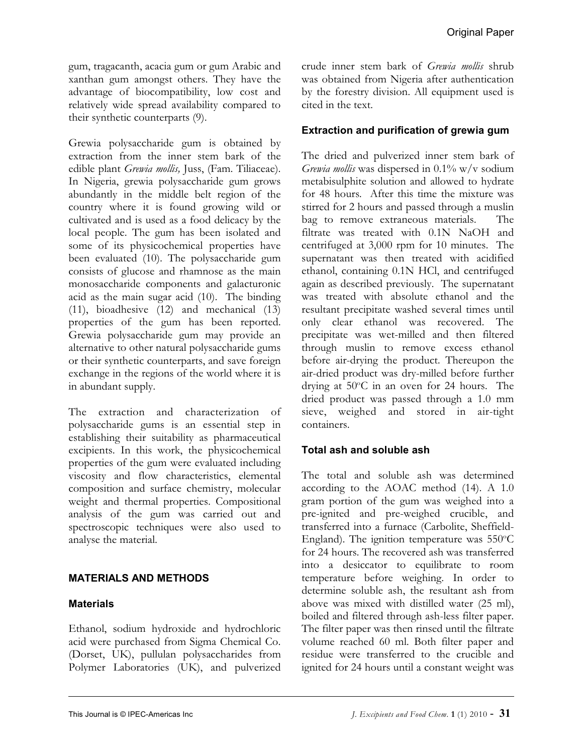gum, tragacanth, acacia gum or gum Arabic and xanthan gum amongst others. They have the advantage of biocompatibility, low cost and relatively wide spread availability compared to their synthetic counterparts (9).

Grewia polysaccharide gum is obtained by extraction from the inner stem bark of the edible plant *Grewia mollis,* Juss, (Fam. Tiliaceae). In Nigeria, grewia polysaccharide gum grows abundantly in the middle belt region of the country where it is found growing wild or cultivated and is used as a food delicacy by the local people. The gum has been isolated and some of its physicochemical properties have been evaluated (10). The polysaccharide gum consists of glucose and rhamnose as the main monosaccharide components and galacturonic acid as the main sugar acid (10). The binding (11), bioadhesive (12) and mechanical (13) properties of the gum has been reported. Grewia polysaccharide gum may provide an alternative to other natural polysaccharide gums or their synthetic counterparts, and save foreign exchange in the regions of the world where it is in abundant supply.

The extraction and characterization of polysaccharide gums is an essential step in establishing their suitability as pharmaceutical excipients. In this work, the physicochemical properties of the gum were evaluated including viscosity and flow characteristics, elemental composition and surface chemistry, molecular weight and thermal properties. Compositional analysis of the gum was carried out and spectroscopic techniques were also used to analyse the material.

# **MATERIALS AND METHODS**

## **Materials**

Ethanol, sodium hydroxide and hydrochloric acid were purchased from Sigma Chemical Co. (Dorset, UK), pullulan polysaccharides from Polymer Laboratories (UK), and pulverized crude inner stem bark of *Grewia mollis* shrub was obtained from Nigeria after authentication by the forestry division. All equipment used is cited in the text.

## **Extraction and purification of grewia gum**

The dried and pulverized inner stem bark of *Grewia mollis* was dispersed in 0.1% w/v sodium metabisulphite solution and allowed to hydrate for 48 hours. After this time the mixture was stirred for 2 hours and passed through a muslin bag to remove extraneous materials. The filtrate was treated with 0.1N NaOH and centrifuged at 3,000 rpm for 10 minutes. The supernatant was then treated with acidified ethanol, containing 0.1N HCl, and centrifuged again as described previously. The supernatant was treated with absolute ethanol and the resultant precipitate washed several times until only clear ethanol was recovered. The precipitate was wet-milled and then filtered through muslin to remove excess ethanol before air-drying the product. Thereupon the air-dried product was dry-milled before further drying at  $50^{\circ}$ C in an oven for 24 hours. The dried product was passed through a 1.0 mm sieve, weighed and stored in air-tight containers.

## **Total ash and soluble ash**

The total and soluble ash was determined according to the AOAC method (14). A 1.0 gram portion of the gum was weighed into a pre-ignited and pre-weighed crucible, and transferred into a furnace (Carbolite, Sheffield-England). The ignition temperature was  $550^{\circ}$ C for 24 hours. The recovered ash was transferred into a desiccator to equilibrate to room temperature before weighing. In order to determine soluble ash, the resultant ash from above was mixed with distilled water (25 ml), boiled and filtered through ash-less filter paper. The filter paper was then rinsed until the filtrate volume reached 60 ml. Both filter paper and residue were transferred to the crucible and ignited for 24 hours until a constant weight was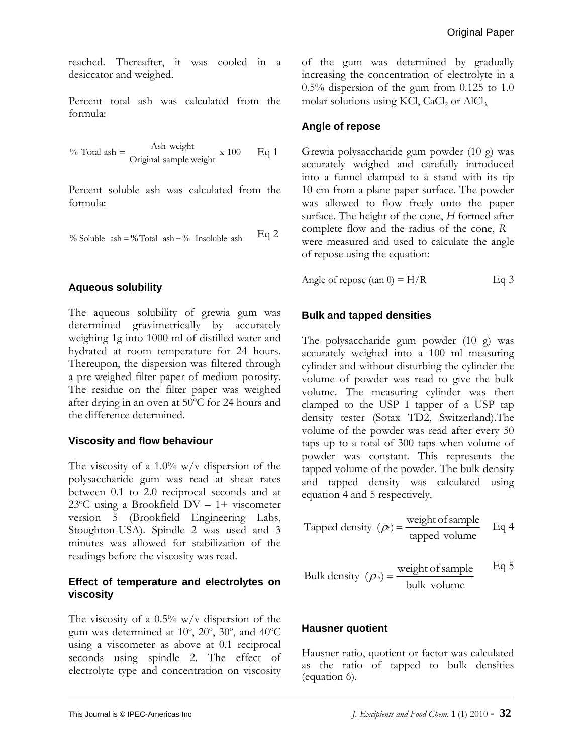reached. Thereafter, it was cooled in a desiccator and weighed.

Percent total ash was calculated from the formula:

% Total ash = 
$$
\frac{\text{Ash weight}}{\text{Original sample weight}}
$$
 x 100 Eq 1

Percent soluble ash was calculated from the formula:

Eq 2 % Soluble ash =  $\%$  Total ash -  $\%$  Insoluble ash

## **Aqueous solubility**

The aqueous solubility of grewia gum was determined gravimetrically by accurately weighing 1g into 1000 ml of distilled water and hydrated at room temperature for 24 hours. Thereupon, the dispersion was filtered through a pre-weighed filter paper of medium porosity. The residue on the filter paper was weighed after drying in an oven at 50°C for 24 hours and the difference determined.

## **Viscosity and flow behaviour**

The viscosity of a 1.0% w/v dispersion of the polysaccharide gum was read at shear rates between 0.1 to 2.0 reciprocal seconds and at 23°C using a Brookfield DV - 1+ viscometer version 5 (Brookfield Engineering Labs, Stoughton-USA). Spindle 2 was used and 3 minutes was allowed for stabilization of the readings before the viscosity was read.

## **Effect of temperature and electrolytes on viscosity**

The viscosity of a  $0.5\%$  w/v dispersion of the gum was determined at  $10^{\circ}$ ,  $20^{\circ}$ ,  $30^{\circ}$ , and  $40^{\circ}$ C using a viscometer as above at 0.1 reciprocal seconds using spindle 2. The effect of electrolyte type and concentration on viscosity of the gum was determined by gradually increasing the concentration of electrolyte in a 0.5% dispersion of the gum from 0.125 to 1.0 molar solutions using KCl,  $CaCl<sub>2</sub>$  or  $AlCl<sub>3</sub>$ .

## **Angle of repose**

Grewia polysaccharide gum powder (10 g) was accurately weighed and carefully introduced into a funnel clamped to a stand with its tip 10 cm from a plane paper surface. The powder was allowed to flow freely unto the paper surface. The height of the cone, *H* formed after complete flow and the radius of the cone, *R* were measured and used to calculate the angle of repose using the equation:

Angle of repose  $(\tan \theta) = H/R$  Eq 3

# **Bulk and tapped densities**

The polysaccharide gum powder (10 g) was accurately weighed into a 100 ml measuring cylinder and without disturbing the cylinder the volume of powder was read to give the bulk volume. The measuring cylinder was then clamped to the USP I tapper of a USP tap density tester (Sotax TD2, Switzerland).The volume of the powder was read after every 50 taps up to a total of 300 taps when volume of powder was constant. This represents the tapped volume of the powder. The bulk density and tapped density was calculated using equation 4 and 5 respectively.

Tapped density 
$$
(\rho_i)
$$
 =  $\frac{\text{weight of sample}}{\text{tapped volume}}$  Eq 4

Bulk density 
$$
(\rho_{\nu}) = \frac{\text{weight of sample}}{\text{bulk volume}}
$$
 Eq 5

## **Hausner quotient**

Hausner ratio, quotient or factor was calculated as the ratio of tapped to bulk densities (equation 6).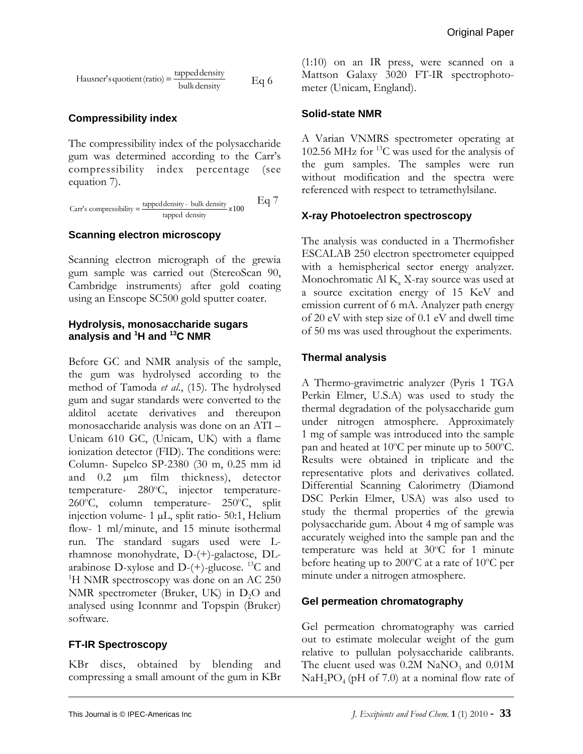$$
Hausner's quotient(ratio) = \frac{tapped density}{bulk density} \qquad Eq 6
$$

## **Compressibility index**

The compressibility index of the polysaccharide gum was determined according to the Carr's compressibility index percentage (see equation 7).

Carr's compressibility = 
$$
\frac{\text{tapped density} - \text{bulk density}}{\text{tapped density}} \times 100
$$
 Eq 7

#### **Scanning electron microscopy**

Scanning electron micrograph of the grewia gum sample was carried out (StereoScan 90, Cambridge instruments) after gold coating using an Enscope SC500 gold sputter coater.

#### **Hydrolysis, monosaccharide sugars analysis and 1 H and 13C NMR**

Before GC and NMR analysis of the sample, the gum was hydrolysed according to the method of Tamoda *et al*., (15). The hydrolysed gum and sugar standards were converted to the alditol acetate derivatives and thereupon monosaccharide analysis was done on an ATI – Unicam 610 GC, (Unicam, UK) with a flame ionization detector (FID). The conditions were: Column- Supelco SP-2380 (30 m, 0.25 mm id and 0.2 µm film thickness), detector temperature- 280°C, injector temperature-260°C, column temperature- 250°C, split injection volume- 1 µL, split ratio- 50:1, Helium flow- 1 ml/minute, and 15 minute isothermal run. The standard sugars used were Lrhamnose monohydrate, D-(+)-galactose, DLarabinose D-xylose and D- $(+)$ -glucose. <sup>13</sup>C and <sup>1</sup>H NMR spectroscopy was done on an AC 250 NMR spectrometer (Bruker, UK) in  $D_2O$  and analysed using Iconnmr and Topspin (Bruker) software.

#### **FT-IR Spectroscopy**

KBr discs, obtained by blending and compressing a small amount of the gum in KBr

(1:10) on an IR press, were scanned on a Mattson Galaxy 3020 FT-IR spectrophotometer (Unicam, England).

## **Solid-state NMR**

A Varian VNMRS spectrometer operating at 102.56 MHz for  $^{13}$ C was used for the analysis of the gum samples. The samples were run without modification and the spectra were referenced with respect to tetramethylsilane.

## **X-ray Photoelectron spectroscopy**

The analysis was conducted in a Thermofisher ESCALAB 250 electron spectrometer equipped with a hemispherical sector energy analyzer. Monochromatic Al  $K_{\alpha}$  X-ray source was used at a source excitation energy of 15 KeV and emission current of 6 mA. Analyzer path energy of 20 eV with step size of 0.1 eV and dwell time of 50 ms was used throughout the experiments.

## **Thermal analysis**

A Thermo-gravimetric analyzer (Pyris 1 TGA Perkin Elmer, U.S.A) was used to study the thermal degradation of the polysaccharide gum under nitrogen atmosphere. Approximately 1 mg of sample was introduced into the sample pan and heated at 10 $^{\circ}$ C per minute up to 500 $^{\circ}$ C. Results were obtained in triplicate and the representative plots and derivatives collated. Differential Scanning Calorimetry (Diamond DSC Perkin Elmer, USA) was also used to study the thermal properties of the grewia polysaccharide gum. About 4 mg of sample was accurately weighed into the sample pan and the temperature was held at 30°C for 1 minute before heating up to 200 $^{\circ}$ C at a rate of 10 $^{\circ}$ C per minute under a nitrogen atmosphere.

#### **Gel permeation chromatography**

Gel permeation chromatography was carried out to estimate molecular weight of the gum relative to pullulan polysaccharide calibrants. The eluent used was  $0.2M$  NaNO<sub>3</sub> and  $0.01M$  $NaH<sub>2</sub>PO<sub>4</sub>$  (pH of 7.0) at a nominal flow rate of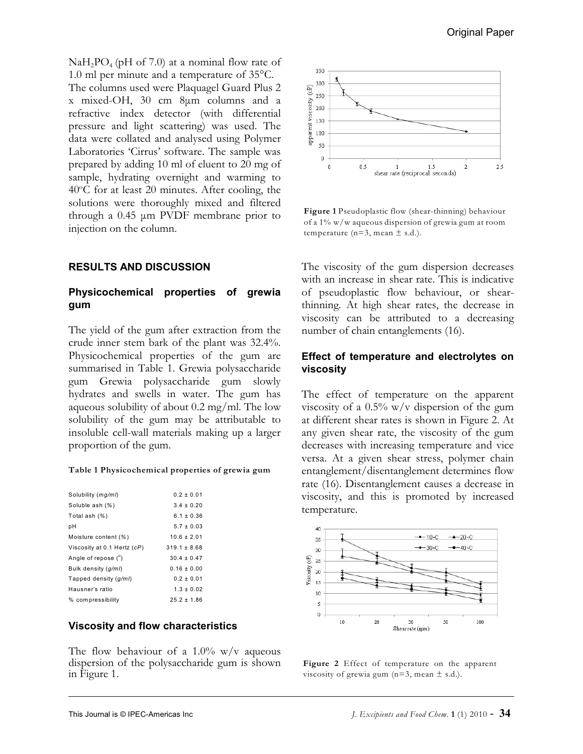$NaH<sub>2</sub>PO<sub>4</sub>$  (pH of 7.0) at a nominal flow rate of 1.0 ml per minute and a temperature of 35°C. The columns used were Plaquagel Guard Plus 2 x mixed-OH, 30 cm 8µm columns and a refractive index detector (with differential pressure and light scattering) was used. The data were collated and analysed using Polymer Laboratories 'Cirrus' software. The sample was prepared by adding 10 ml of eluent to 20 mg of sample, hydrating overnight and warming to  $40^{\circ}$ C for at least 20 minutes. After cooling, the solutions were thoroughly mixed and filtered through a  $0.45 \mu m$  PVDF membrane prior to injection on the column.

#### **RESULTS AND DISCUSSION**

#### **Physicochemical properties of grewia gum**

The yield of the gum after extraction from the crude inner stem bark of the plant was 32.4%. Physicochemical properties of the gum are summarised in Table 1. Grewia polysaccharide gum Grewia polysaccharide gum slowly hydrates and swells in water. The gum has aqueous solubility of about 0.2 mg/ml. The low solubility of the gum may be attributable to insoluble cell-wall materials making up a larger proportion of the gum.

#### **Table 1 Physicochemical properties of grewia gum**

| Solubility (mg/ml)          | $0.2 \pm 0.01$   |
|-----------------------------|------------------|
| Soluble ash (%)             | $3.4 \pm 0.20$   |
| Total ash (%)               | $6.1 \pm 0.36$   |
| pН                          | $5.7 \pm 0.03$   |
| Moisture content (%)        | $10.6 \pm 2.01$  |
| Viscosity at 0.1 Hertz (cP) | $319.1 \pm 8.68$ |
| Angle of repose (°)         | $30.4 \pm 0.47$  |
| Bulk density (g/ml)         | $0.16 \pm 0.00$  |
| Tapped density (g/ml)       | $0.2 \pm 0.01$   |
| Hausner's ratio             | $1.3 \pm 0.02$   |
| % compressibility           | $25.2 \pm 1.86$  |

#### **Viscosity and flow characteristics**

The flow behaviour of a  $1.0\%$  w/v aqueous dispersion of the polysaccharide gum is shown in Figure 1.



**Figure 1** Pseudoplastic flow (shear-thinning) behaviour of a 1% w/w aqueous dispersion of grewia gum at room temperature ( $n=3$ , mean  $\pm$  s.d.).

The viscosity of the gum dispersion decreases with an increase in shear rate. This is indicative of pseudoplastic flow behaviour, or shearthinning. At high shear rates, the decrease in viscosity can be attributed to a decreasing number of chain entanglements (16).

#### **Effect of temperature and electrolytes on viscosity**

The effect of temperature on the apparent viscosity of a  $0.5\%$  w/v dispersion of the gum at different shear rates is shown in Figure 2. At any given shear rate, the viscosity of the gum decreases with increasing temperature and vice versa. At a given shear stress, polymer chain entanglement/disentanglement determines flow rate (16). Disentanglement causes a decrease in viscosity, and this is promoted by increased temperature.



**Figure 2** Effect of temperature on the apparent viscosity of grewia gum  $(n=3, \text{mean } \pm \text{ s.d.}).$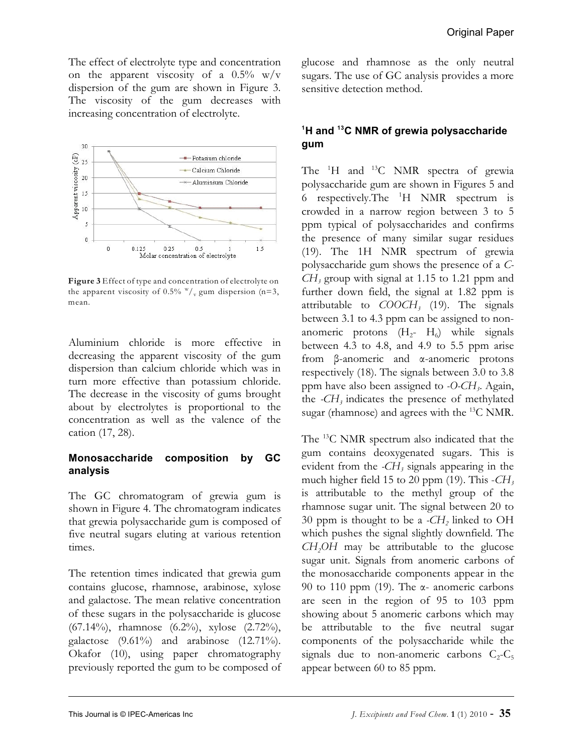The effect of electrolyte type and concentration on the apparent viscosity of a  $0.5\%$  w/v dispersion of the gum are shown in Figure 3. The viscosity of the gum decreases with increasing concentration of electrolyte.



**Figure 3** Effect of type and concentration of electrolyte on the apparent viscosity of 0.5%  $\frac{w}{v}$  gum dispersion (n=3, mean.

Aluminium chloride is more effective in decreasing the apparent viscosity of the gum dispersion than calcium chloride which was in turn more effective than potassium chloride. The decrease in the viscosity of gums brought about by electrolytes is proportional to the concentration as well as the valence of the cation (17, 28).

#### **Monosaccharide composition by GC analysis**

The GC chromatogram of grewia gum is shown in Figure 4. The chromatogram indicates that grewia polysaccharide gum is composed of five neutral sugars eluting at various retention times.

The retention times indicated that grewia gum contains glucose, rhamnose, arabinose, xylose and galactose. The mean relative concentration of these sugars in the polysaccharide is glucose (67.14%), rhamnose (6.2%), xylose (2.72%), galactose  $(9.61\%)$  and arabinose  $(12.71\%).$ Okafor (10), using paper chromatography previously reported the gum to be composed of glucose and rhamnose as the only neutral sugars. The use of GC analysis provides a more sensitive detection method.

# <sup>1</sup>H and <sup>13</sup>C NMR of grewia polysaccharide **gum**

The  ${}^{1}$ H and  ${}^{13}$ C NMR spectra of grewia polysaccharide gum are shown in Figures 5 and 6 respectively. The  ${}^{1}H$  NMR spectrum is crowded in a narrow region between 3 to 5 ppm typical of polysaccharides and confirms the presence of many similar sugar residues (19). The 1H NMR spectrum of grewia polysaccharide gum shows the presence of a *C-CH<sup>3</sup>* group with signal at 1.15 to 1.21 ppm and further down field, the signal at 1.82 ppm is attributable to *COOCH*, (19). The signals between 3.1 to 4.3 ppm can be assigned to nonanomeric protons  $(H_2 - H_6)$  while signals between 4.3 to 4.8, and 4.9 to 5.5 ppm arise from â-anomeric and á-anomeric protons respectively (18). The signals between 3.0 to 3.8 ppm have also been assigned *<sup>3</sup>* to *-O-CH* . Again, *3* the *-CH* indicates the presence of methylated sugar (rhamnose) and agrees with the  $^{13}$ C NMR.

The  $^{13}$ C NMR spectrum also indicated that the gum contains deoxygenated sugars. This is evident from the *-CH*<sub>3</sub> signals appearing in the much higher *<sup>3</sup>* field 15 to 20 ppm (19). This -*CH* is attributable to the methyl group of the rhamnose sugar unit. The signal between 20 to 30 ppm *<sup>2</sup>* is thought to be a *-CH* linked to OH which pushes the signal slightly downfield. The *CH2OH* may be attributable to the glucose sugar unit. Signals from anomeric carbons of the monosaccharide components appear in the 90 to 110 ppm (19). The  $\alpha$ - anomeric carbons are seen in the region of 95 to 103 ppm showing about 5 anomeric carbons which may be attributable to the five neutral sugar components of the polysaccharide while the signals due to non-anomeric carbons  $C_2$ - $C_5$ appear between 60 to 85 ppm.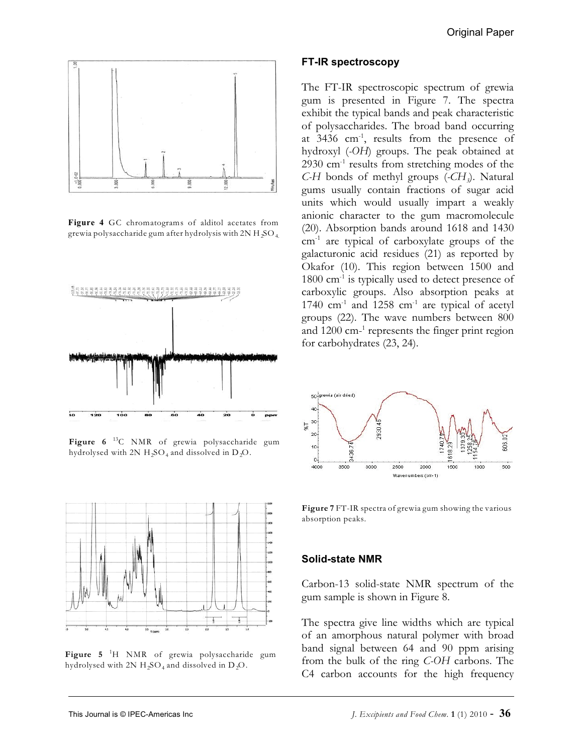

**Figure 4** GC chromatograms of alditol acetates from grewia polysaccharide gum after hydrolysis with 2N H<sub>2</sub>SO<sub>4.</sub>



Figure 6<sup>13</sup>C NMR of grewia polysaccharide gum hydrolysed with 2N  $H_2SO_4$  and dissolved in  $D_2O$ .



**Figure 5** H NMR of grewia polysaccharide gum 1 hydrolysed with 2N  $H_2SO_4$  and dissolved in  $D_2O$ .

#### **FT-IR spectroscopy**

The FT-IR spectroscopic spectrum of grewia gum is presented in Figure 7. The spectra exhibit the typical bands and peak characteristic of polysaccharides. The broad band occurring at  $3436$  cm<sup>-1</sup>, results from the presence of hydroxyl (*-OH*) groups. The peak obtained at  $2930$  cm<sup>-1</sup> results from stretching modes of the *C-H* bonds of methyl groups (*-CH*<sub>3</sub>). Natural gums usually contain fractions of sugar acid units which would usually impart a weakly anionic character to the gum macromolecule (20). Absorption bands around 1618 and 1430  $cm<sup>-1</sup>$  are typical of carboxylate groups of the galacturonic acid residues (21) as reported by Okafor (10). This region between 1500 and  $1800 \text{ cm}^{-1}$  is typically used to detect presence of carboxylic groups. Also absorption peaks at 1740  $cm<sup>-1</sup>$  and 1258  $cm<sup>-1</sup>$  are typical of acetyl groups (22). The wave numbers between 800 and  $1200$  cm<sup>-1</sup> represents the finger print region for carbohydrates (23, 24).



**Figure 7** FT-IR spectra of grewia gum showing the various absorption peaks.

#### **Solid-state NMR**

Carbon-13 solid-state NMR spectrum of the gum sample is shown in Figure 8.

The spectra give line widths which are typical of an amorphous natural polymer with broad band signal between 64 and 90 ppm arising from the bulk of the ring *C-OH* carbons. The C4 carbon accounts for the high frequency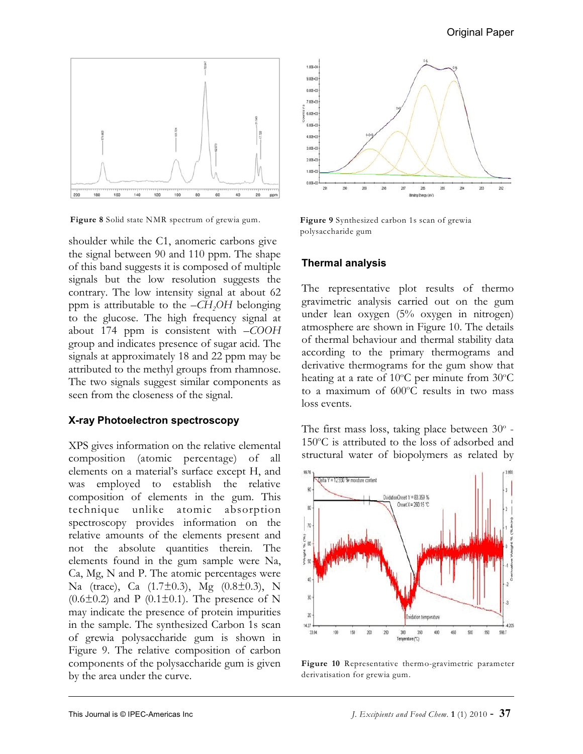

**Figure 8** Solid state NMR spectrum of grewia gum. **Figure 9** Synthesized carbon 1s scan of grewia

shoulder while the C1, anomeric carbons give the signal between 90 and 110 ppm. The shape of this band suggests it is composed of multiple signals but the low resolution suggests the contrary. The low intensity signal at about 62 ppm *<sup>2</sup>* is attributable to the *–CH OH* belonging to the glucose. The high frequency signal at about 174 ppm is consistent with *–COOH* group and indicates presence of sugar acid. The signals at approximately 18 and 22 ppm may be attributed to the methyl groups from rhamnose. The two signals suggest similar components as seen from the closeness of the signal.

#### **X-ray Photoelectron spectroscopy**

XPS gives information on the relative elemental composition (atomic percentage) of all elements on a material's surface except H, and was employed to establish the relative composition of elements in the gum. This technique unlike atomic absorption spectroscopy provides information on the relative amounts of the elements present and not the absolute quantities therein. The elements found in the gum sample were Na, Ca, Mg, N and P. The atomic percentages were Na (trace), Ca (1.7±0.3), Mg (0.8±0.3), N  $(0.6\pm0.2)$  and P  $(0.1\pm0.1)$ . The presence of N may indicate the presence of protein impurities in the sample. The synthesized Carbon 1s scan of grewia polysaccharide gum is shown in Figure 9. The relative composition of carbon components of the polysaccharide gum is given by the area under the curve.



polysaccharide gum

## **Thermal analysis**

The representative plot results of thermo gravimetric analysis carried out on the gum under lean oxygen (5% oxygen in nitrogen) atmosphere are shown in Figure 10. The details of thermal behaviour and thermal stability data according to the primary thermograms and derivative thermograms for the gum show that heating at a rate of 10°C per minute from 30°C to a maximum of  $600^{\circ}$ C results in two mass loss events.

The first mass loss, taking place between  $30^{\circ}$  - $150^{\circ}$ C is attributed to the loss of adsorbed and structural water of biopolymers as related by



**Figure 10** Representative thermo-gravimetric parameter derivatisation for grewia gum.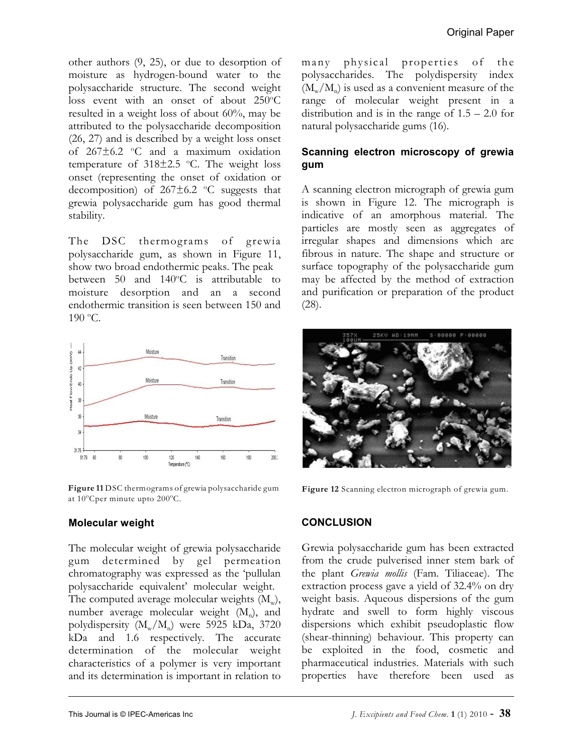other authors (9, 25), or due to desorption of moisture as hydrogen-bound water to the polysaccharide structure. The second weight loss event with an onset of about  $250^{\circ}$ C resulted in a weight loss of about 60%, may be attributed to the polysaccharide decomposition (26, 27) and is described by a weight loss onset of  $267\pm6.2$  °C and a maximum oxidation temperature of  $318\pm2.5$  °C. The weight loss onset (representing the onset of oxidation or decomposition) of  $267\pm6.2$  °C suggests that grewia polysaccharide gum has good thermal stability.

The DSC thermograms of grewia polysaccharide gum, as shown in Figure 11, show two broad endothermic peaks. The peak between 50 and  $140^{\circ}$ C is attributable to moisture desorption and an a second endothermic transition is seen between 150 and  $190^{\circ}$ C.



**Figure 11** DSC thermograms of grewia polysaccharide gum at  $10^{\circ}$ Cper minute upto  $200^{\circ}$ C.

#### **Molecular weight**

The molecular weight of grewia polysaccharide gum determined by gel permeation chromatography was expressed as the 'pullulan polysaccharide equivalent' molecular weight. The computed average molecular weights  $(\text{M}_{\text{w}}),$ number average molecular weight  $(M_n)$ , and polydispersity  $(M_w/M_n)$  were 5925 kDa, 3720 kDa and 1.6 respectively. The accurate determination of the molecular weight characteristics of a polymer is very important and its determination is important in relation to

many physical properties of the polysaccharides. The polydispersity index  $(M_w / M_n)$  is used as a convenient measure of the range of molecular weight present in a distribution and is in the range of  $1.5 - 2.0$  for natural polysaccharide gums (16).

## **Scanning electron microscopy of grewia gum**

A scanning electron micrograph of grewia gum is shown in Figure 12. The micrograph is indicative of an amorphous material. The particles are mostly seen as aggregates of irregular shapes and dimensions which are fibrous in nature. The shape and structure or surface topography of the polysaccharide gum may be affected by the method of extraction and purification or preparation of the product (28).



**Figure 12** Scanning electron micrograph of grewia gum.

#### **CONCLUSION**

Grewia polysaccharide gum has been extracted from the crude pulverised inner stem bark of the plant *Grewia mollis* (Fam. Tiliaceae). The extraction process gave a yield of 32.4% on dry weight basis. Aqueous dispersions of the gum hydrate and swell to form highly viscous dispersions which exhibit pseudoplastic flow (shear-thinning) behaviour. This property can be exploited in the food, cosmetic and pharmaceutical industries. Materials with such properties have therefore been used as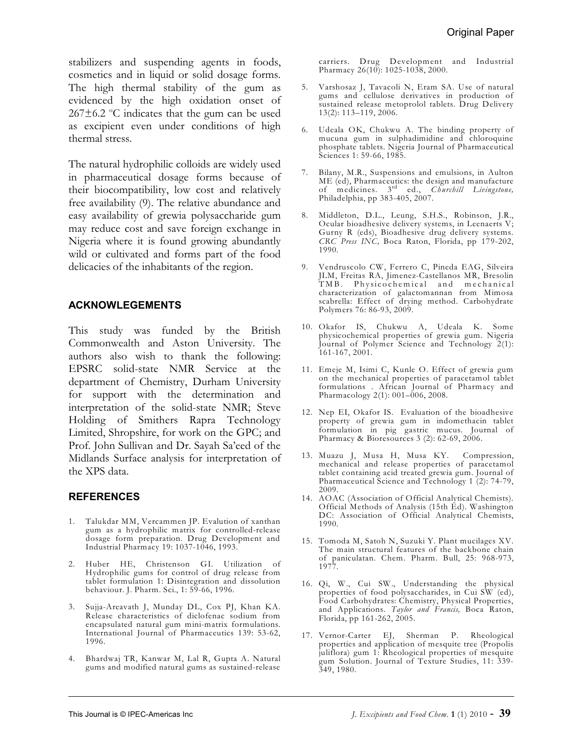stabilizers and suspending agents in foods, cosmetics and in liquid or solid dosage forms. The high thermal stability of the gum as evidenced by the high oxidation onset of  $267\pm6.2$  °C indicates that the gum can be used as excipient even under conditions of high thermal stress.

The natural hydrophilic colloids are widely used in pharmaceutical dosage forms because of their biocompatibility, low cost and relatively free availability (9). The relative abundance and easy availability of grewia polysaccharide gum may reduce cost and save foreign exchange in Nigeria where it is found growing abundantly wild or cultivated and forms part of the food delicacies of the inhabitants of the region.

#### **ACKNOWLEGEMENTS**

This study was funded by the British Commonwealth and Aston University. The authors also wish to thank the following: EPSRC solid-state NMR Service at the department of Chemistry, Durham University for support with the determination and interpretation of the solid-state NMR; Steve Holding of Smithers Rapra Technology Limited, Shropshire, for work on the GPC; and Prof. John Sullivan and Dr. Sayah Sa'eed of the Midlands Surface analysis for interpretation of the XPS data.

#### **REFERENCES**

- 1. Talukdar MM, Vercammen JP. Evalution of xanthan gum as a hydrophilic matrix for controlled-release dosage form preparation. Drug Development and Industrial Pharmacy 19: 1037-1046, 1993.
- 2. Huber HE, Christenson GI. Utilization of Hydrophilic gums for control of drug release from tablet formulation 1: Disintegration and dissolution behaviour. J. Pharm. Sci., 1: 59-66, 1996.
- 3. Sujja-Areavath J, Munday DL, Cox PJ, Khan KA. Release characteristics of diclofenac sodium from encapsulated natural gum mini-matrix formulations. International Journal of Pharmaceutics 139: 53-62, 1996.
- 4. Bhardwaj TR, Kanwar M, Lal R, Gupta A. Natural gums and modified natural gums as sustained-release

carriers. Drug Development and Industrial Pharmacy 26(10): 1025-1038, 2000.

- 5. Varshosaz J, Tavacoli N, Eram SA. Use of natural gums and cellulose derivatives in production of sustained release metoprolol tablets. Drug Delivery 13(2): 113–119, 2006.
- 6. Udeala OK, Chukwu A. The binding property of mucuna gum in sulphadimidine and chloroquine phosphate tablets. Nigeria Journal of Pharmaceutical Sciences 1: 59-66, 1985.
- 7. Bilany, M.R., Suspensions and emulsions, in Aulton ME (ed), Pharmaceutics: the design and manufacture of medicines. 3<sup>rd</sup> ed., *Churchill Livingstone*, Philadelphia, pp 383-405, 2007.
- 8. Middleton, D.L., Leung, S.H.S., Robinson, J.R., Ocular bioadhesive delivery systems, in Leenaerts V; Gurny R (eds), Bioadhesive drug delivery systems. *CRC Press INC,* Boca Raton, Florida, pp 179-202, 1990.
- 9. Vendruscolo CW, Ferrero C, Pineda EAG, Silveira JLM, Freitas RA, Jimenez-Castellanos MR, Bresolin TMB. Physicochemical and mechanical characterization of galactomannan from Mimosa scabrella: Effect of drying method. Carbohydrate Polymers 76: 86-93, 2009.
- 10. Okafor IS, Chukwu A, Udeala K. Some physicochemical properties of grewia gum. Nigeria Journal of Polymer Science and Technology 2(1): 161-167, 2001.
- 11. Emeje M, Isimi C, Kunle O. Effect of grewia gum on the mechanical properties of paracetamol tablet formulations . African Journal of Pharmacy and Pharmacology 2(1): 001–006, 2008.
- 12. Nep EI, Okafor IS. Evaluation of the bioadhesive property of grewia gum in indomethacin tablet formulation in pig gastric mucus. Journal of Pharmacy & Bioresources 3 (2): 62-69, 2006.
- 13. Muazu J, Musa H, Musa KY. Compression, mechanical and release properties of paracetamol tablet containing acid treated grewia gum. Journal of Pharmaceutical Science and Technology 1 (2): 74-79, 2009.
- 14. AOAC (Association of Official Analytical Chemists). Official Methods of Analysis (15th Ed). Washington DC: Association of Official Analytical Chemists, 1990.
- 15. Tomoda M, Satoh N, Suzuki Y. Plant mucilages XV. The main structural features of the backbone chain of paniculatan. Chem. Pharm. Bull, 25: 968-973, 1977.
- 16. Qi, W., Cui SW., Understanding the physical properties of food polysaccharides, in Cui SW (ed), Food Carbohydrates: Chemistry, Physical Properties, and Applications. *Taylor and Francis,* Boca Raton, Florida, pp 161-262, 2005.
- 17. Vernor-Carter EJ, Sherman P. Rheological properties and application of mesquite tree (Propolis juliflora) gum 1: Rheological properties of mesquite gum Solution. Journal of Texture Studies, 11: 339- 349, 1980.